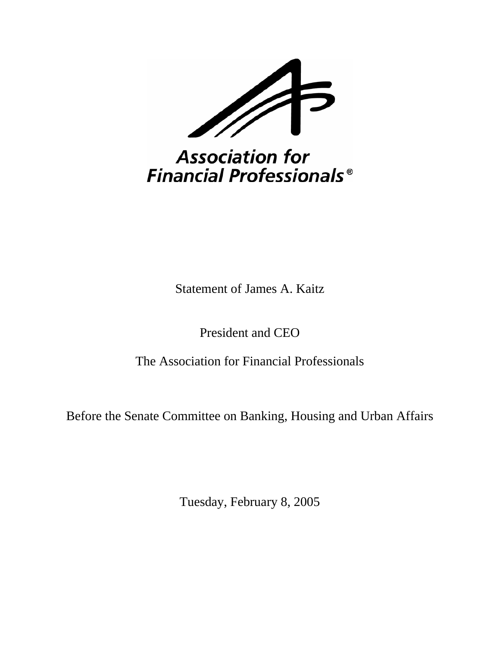

## **Association for Financial Professionals<sup>®</sup>**

Statement of James A. Kaitz

President and CEO

The Association for Financial Professionals

Before the Senate Committee on Banking, Housing and Urban Affairs

Tuesday, February 8, 2005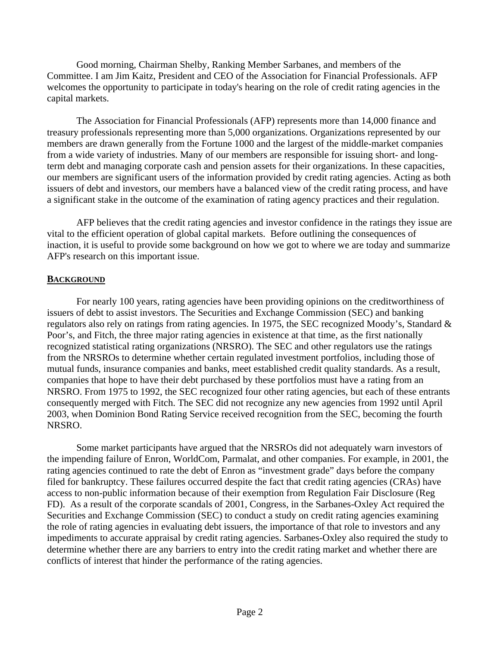Good morning, Chairman Shelby, Ranking Member Sarbanes, and members of the Committee. I am Jim Kaitz, President and CEO of the Association for Financial Professionals. AFP welcomes the opportunity to participate in today's hearing on the role of credit rating agencies in the capital markets.

The Association for Financial Professionals (AFP) represents more than 14,000 finance and treasury professionals representing more than 5,000 organizations. Organizations represented by our members are drawn generally from the Fortune 1000 and the largest of the middle-market companies from a wide variety of industries. Many of our members are responsible for issuing short- and longterm debt and managing corporate cash and pension assets for their organizations. In these capacities, our members are significant users of the information provided by credit rating agencies. Acting as both issuers of debt and investors, our members have a balanced view of the credit rating process, and have a significant stake in the outcome of the examination of rating agency practices and their regulation.

AFP believes that the credit rating agencies and investor confidence in the ratings they issue are vital to the efficient operation of global capital markets. Before outlining the consequences of inaction, it is useful to provide some background on how we got to where we are today and summarize AFP's research on this important issue.

#### **BACKGROUND**

For nearly 100 years, rating agencies have been providing opinions on the creditworthiness of issuers of debt to assist investors. The Securities and Exchange Commission (SEC) and banking regulators also rely on ratings from rating agencies. In 1975, the SEC recognized Moody's, Standard & Poor's, and Fitch, the three major rating agencies in existence at that time, as the first nationally recognized statistical rating organizations (NRSRO). The SEC and other regulators use the ratings from the NRSROs to determine whether certain regulated investment portfolios, including those of mutual funds, insurance companies and banks, meet established credit quality standards. As a result, companies that hope to have their debt purchased by these portfolios must have a rating from an NRSRO. From 1975 to 1992, the SEC recognized four other rating agencies, but each of these entrants consequently merged with Fitch. The SEC did not recognize any new agencies from 1992 until April 2003, when Dominion Bond Rating Service received recognition from the SEC, becoming the fourth NRSRO.

Some market participants have argued that the NRSROs did not adequately warn investors of the impending failure of Enron, WorldCom, Parmalat, and other companies. For example, in 2001, the rating agencies continued to rate the debt of Enron as "investment grade" days before the company filed for bankruptcy. These failures occurred despite the fact that credit rating agencies (CRAs) have access to non-public information because of their exemption from Regulation Fair Disclosure (Reg FD). As a result of the corporate scandals of 2001, Congress, in the Sarbanes-Oxley Act required the Securities and Exchange Commission (SEC) to conduct a study on credit rating agencies examining the role of rating agencies in evaluating debt issuers, the importance of that role to investors and any impediments to accurate appraisal by credit rating agencies. Sarbanes-Oxley also required the study to determine whether there are any barriers to entry into the credit rating market and whether there are conflicts of interest that hinder the performance of the rating agencies.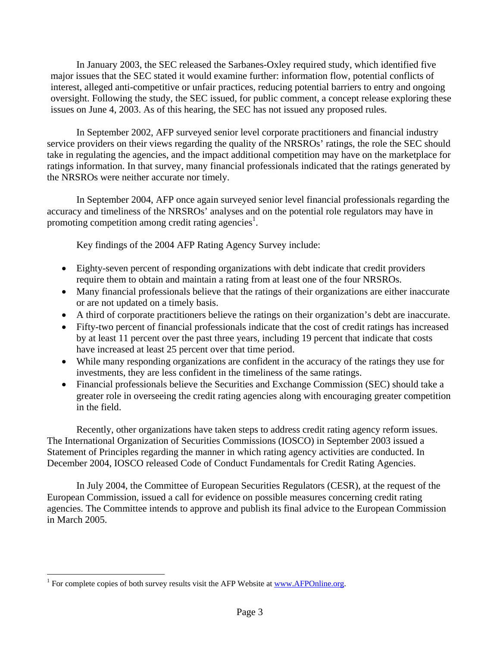In January 2003, the SEC released the Sarbanes-Oxley required study, which identified five major issues that the SEC stated it would examine further: information flow, potential conflicts of interest, alleged anti-competitive or unfair practices, reducing potential barriers to entry and ongoing oversight. Following the study, the SEC issued, for public comment, a concept release exploring these issues on June 4, 2003. As of this hearing, the SEC has not issued any proposed rules.

In September 2002, AFP surveyed senior level corporate practitioners and financial industry service providers on their views regarding the quality of the NRSROs' ratings, the role the SEC should take in regulating the agencies, and the impact additional competition may have on the marketplace for ratings information. In that survey, many financial professionals indicated that the ratings generated by the NRSROs were neither accurate nor timely.

In September 2004, AFP once again surveyed senior level financial professionals regarding the accuracy and timeliness of the NRSROs' analyses and on the potential role regulators may have in promoting competition among credit rating agencies<sup>[1](#page-2-0)</sup>.

Key findings of the 2004 AFP Rating Agency Survey include:

- Eighty-seven percent of responding organizations with debt indicate that credit providers require them to obtain and maintain a rating from at least one of the four NRSROs.
- Many financial professionals believe that the ratings of their organizations are either inaccurate or are not updated on a timely basis.
- A third of corporate practitioners believe the ratings on their organization's debt are inaccurate.
- Fifty-two percent of financial professionals indicate that the cost of credit ratings has increased by at least 11 percent over the past three years, including 19 percent that indicate that costs have increased at least 25 percent over that time period.
- While many responding organizations are confident in the accuracy of the ratings they use for investments, they are less confident in the timeliness of the same ratings.
- Financial professionals believe the Securities and Exchange Commission (SEC) should take a greater role in overseeing the credit rating agencies along with encouraging greater competition in the field.

Recently, other organizations have taken steps to address credit rating agency reform issues. The International Organization of Securities Commissions (IOSCO) in September 2003 issued a Statement of Principles regarding the manner in which rating agency activities are conducted. In December 2004, IOSCO released Code of Conduct Fundamentals for Credit Rating Agencies.

In July 2004, the Committee of European Securities Regulators (CESR), at the request of the European Commission, issued a call for evidence on possible measures concerning credit rating agencies. The Committee intends to approve and publish its final advice to the European Commission in March 2005.

<u>.</u>

<span id="page-2-0"></span> $1$  For complete copies of both survey results visit the AFP Website at  $\frac{www.AFPOnline.org}{m}$ .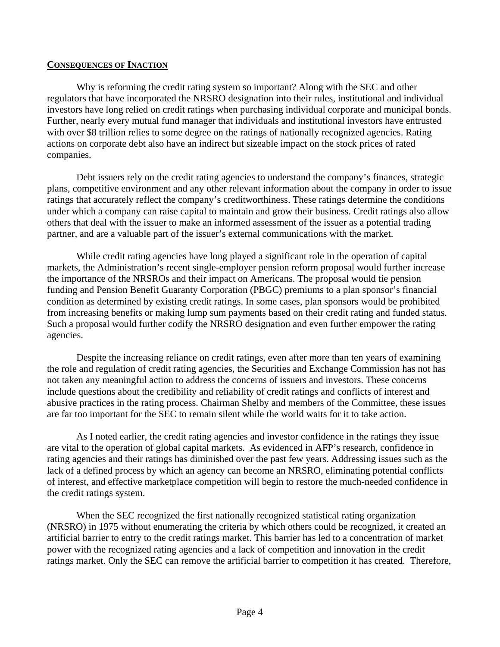#### **CONSEQUENCES OF INACTION**

Why is reforming the credit rating system so important? Along with the SEC and other regulators that have incorporated the NRSRO designation into their rules, institutional and individual investors have long relied on credit ratings when purchasing individual corporate and municipal bonds. Further, nearly every mutual fund manager that individuals and institutional investors have entrusted with over \$8 trillion relies to some degree on the ratings of nationally recognized agencies. Rating actions on corporate debt also have an indirect but sizeable impact on the stock prices of rated companies.

Debt issuers rely on the credit rating agencies to understand the company's finances, strategic plans, competitive environment and any other relevant information about the company in order to issue ratings that accurately reflect the company's creditworthiness. These ratings determine the conditions under which a company can raise capital to maintain and grow their business. Credit ratings also allow others that deal with the issuer to make an informed assessment of the issuer as a potential trading partner, and are a valuable part of the issuer's external communications with the market.

While credit rating agencies have long played a significant role in the operation of capital markets, the Administration's recent single-employer pension reform proposal would further increase the importance of the NRSROs and their impact on Americans. The proposal would tie pension funding and Pension Benefit Guaranty Corporation (PBGC) premiums to a plan sponsor's financial condition as determined by existing credit ratings. In some cases, plan sponsors would be prohibited from increasing benefits or making lump sum payments based on their credit rating and funded status. Such a proposal would further codify the NRSRO designation and even further empower the rating agencies.

Despite the increasing reliance on credit ratings, even after more than ten years of examining the role and regulation of credit rating agencies, the Securities and Exchange Commission has not has not taken any meaningful action to address the concerns of issuers and investors. These concerns include questions about the credibility and reliability of credit ratings and conflicts of interest and abusive practices in the rating process. Chairman Shelby and members of the Committee, these issues are far too important for the SEC to remain silent while the world waits for it to take action.

As I noted earlier, the credit rating agencies and investor confidence in the ratings they issue are vital to the operation of global capital markets. As evidenced in AFP's research, confidence in rating agencies and their ratings has diminished over the past few years. Addressing issues such as the lack of a defined process by which an agency can become an NRSRO, eliminating potential conflicts of interest, and effective marketplace competition will begin to restore the much-needed confidence in the credit ratings system.

When the SEC recognized the first nationally recognized statistical rating organization (NRSRO) in 1975 without enumerating the criteria by which others could be recognized, it created an artificial barrier to entry to the credit ratings market. This barrier has led to a concentration of market power with the recognized rating agencies and a lack of competition and innovation in the credit ratings market. Only the SEC can remove the artificial barrier to competition it has created. Therefore,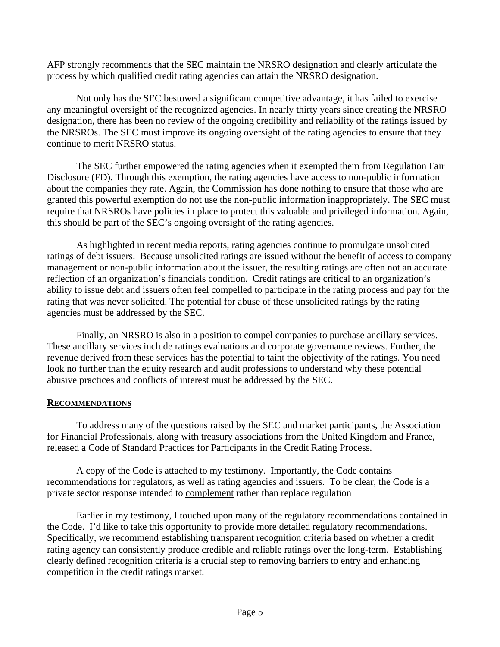AFP strongly recommends that the SEC maintain the NRSRO designation and clearly articulate the process by which qualified credit rating agencies can attain the NRSRO designation.

Not only has the SEC bestowed a significant competitive advantage, it has failed to exercise any meaningful oversight of the recognized agencies. In nearly thirty years since creating the NRSRO designation, there has been no review of the ongoing credibility and reliability of the ratings issued by the NRSROs. The SEC must improve its ongoing oversight of the rating agencies to ensure that they continue to merit NRSRO status.

The SEC further empowered the rating agencies when it exempted them from Regulation Fair Disclosure (FD). Through this exemption, the rating agencies have access to non-public information about the companies they rate. Again, the Commission has done nothing to ensure that those who are granted this powerful exemption do not use the non-public information inappropriately. The SEC must require that NRSROs have policies in place to protect this valuable and privileged information. Again, this should be part of the SEC's ongoing oversight of the rating agencies.

As highlighted in recent media reports, rating agencies continue to promulgate unsolicited ratings of debt issuers. Because unsolicited ratings are issued without the benefit of access to company management or non-public information about the issuer, the resulting ratings are often not an accurate reflection of an organization's financials condition. Credit ratings are critical to an organization's ability to issue debt and issuers often feel compelled to participate in the rating process and pay for the rating that was never solicited. The potential for abuse of these unsolicited ratings by the rating agencies must be addressed by the SEC.

Finally, an NRSRO is also in a position to compel companies to purchase ancillary services. These ancillary services include ratings evaluations and corporate governance reviews. Further, the revenue derived from these services has the potential to taint the objectivity of the ratings. You need look no further than the equity research and audit professions to understand why these potential abusive practices and conflicts of interest must be addressed by the SEC.

#### **RECOMMENDATIONS**

To address many of the questions raised by the SEC and market participants, the Association for Financial Professionals, along with treasury associations from the United Kingdom and France, released a Code of Standard Practices for Participants in the Credit Rating Process.

A copy of the Code is attached to my testimony. Importantly, the Code contains recommendations for regulators, as well as rating agencies and issuers. To be clear, the Code is a private sector response intended to complement rather than replace regulation

Earlier in my testimony, I touched upon many of the regulatory recommendations contained in the Code. I'd like to take this opportunity to provide more detailed regulatory recommendations. Specifically, we recommend establishing transparent recognition criteria based on whether a credit rating agency can consistently produce credible and reliable ratings over the long-term. Establishing clearly defined recognition criteria is a crucial step to removing barriers to entry and enhancing competition in the credit ratings market.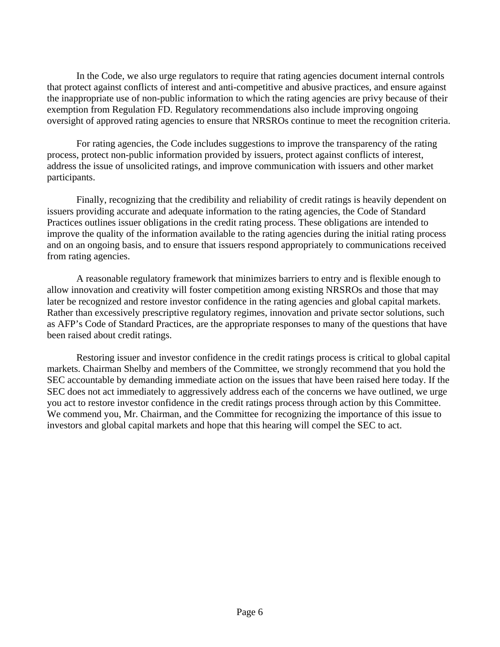In the Code, we also urge regulators to require that rating agencies document internal controls that protect against conflicts of interest and anti-competitive and abusive practices, and ensure against the inappropriate use of non-public information to which the rating agencies are privy because of their exemption from Regulation FD. Regulatory recommendations also include improving ongoing oversight of approved rating agencies to ensure that NRSROs continue to meet the recognition criteria.

For rating agencies, the Code includes suggestions to improve the transparency of the rating process, protect non-public information provided by issuers, protect against conflicts of interest, address the issue of unsolicited ratings, and improve communication with issuers and other market participants.

Finally, recognizing that the credibility and reliability of credit ratings is heavily dependent on issuers providing accurate and adequate information to the rating agencies, the Code of Standard Practices outlines issuer obligations in the credit rating process. These obligations are intended to improve the quality of the information available to the rating agencies during the initial rating process and on an ongoing basis, and to ensure that issuers respond appropriately to communications received from rating agencies.

A reasonable regulatory framework that minimizes barriers to entry and is flexible enough to allow innovation and creativity will foster competition among existing NRSROs and those that may later be recognized and restore investor confidence in the rating agencies and global capital markets. Rather than excessively prescriptive regulatory regimes, innovation and private sector solutions, such as AFP's Code of Standard Practices, are the appropriate responses to many of the questions that have been raised about credit ratings.

Restoring issuer and investor confidence in the credit ratings process is critical to global capital markets. Chairman Shelby and members of the Committee, we strongly recommend that you hold the SEC accountable by demanding immediate action on the issues that have been raised here today. If the SEC does not act immediately to aggressively address each of the concerns we have outlined, we urge you act to restore investor confidence in the credit ratings process through action by this Committee. We commend you, Mr. Chairman, and the Committee for recognizing the importance of this issue to investors and global capital markets and hope that this hearing will compel the SEC to act.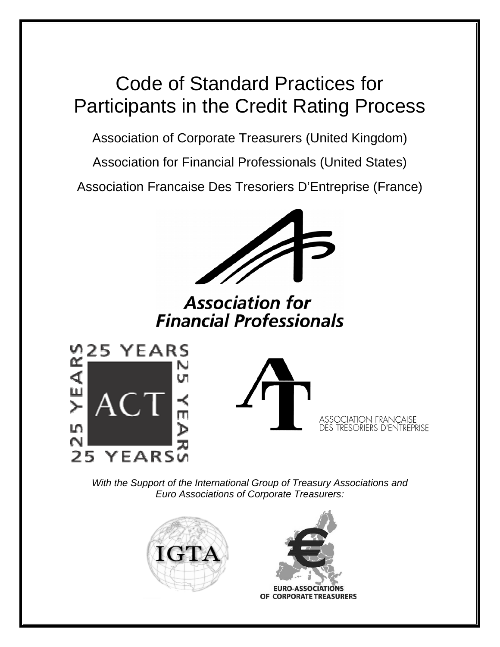# Code of Standard Practices for Participants in the Credit Rating Process

Association of Corporate Treasurers (United Kingdom)

Association for Financial Professionals (United States)

Association Francaise Des Tresoriers D'Entreprise (France)



**Association for Financial Professionals** 





*With the Support of the International Group of Treasury Associations and Euro Associations of Corporate Treasurers:* 





**EURO-ASSOCIATIONS** OF CORPORATE TREASURERS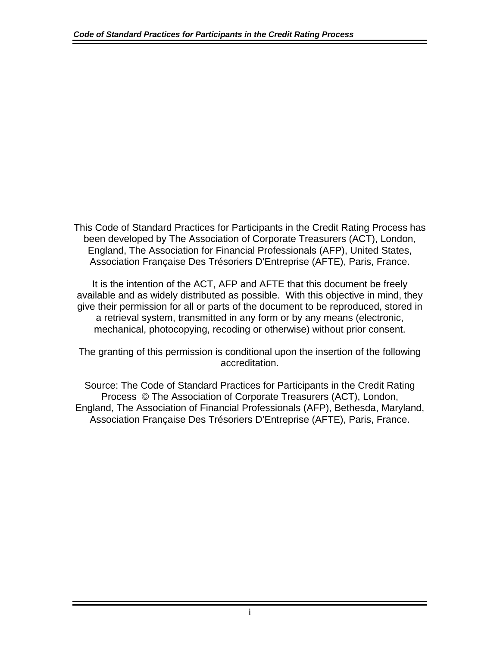This Code of Standard Practices for Participants in the Credit Rating Process has been developed by The Association of Corporate Treasurers (ACT), London, England, The Association for Financial Professionals (AFP), United States, Association Française Des Trésoriers D'Entreprise (AFTE), Paris, France.

It is the intention of the ACT, AFP and AFTE that this document be freely available and as widely distributed as possible. With this objective in mind, they give their permission for all or parts of the document to be reproduced, stored in a retrieval system, transmitted in any form or by any means (electronic, mechanical, photocopying, recoding or otherwise) without prior consent.

The granting of this permission is conditional upon the insertion of the following accreditation.

Source: The Code of Standard Practices for Participants in the Credit Rating Process © The Association of Corporate Treasurers (ACT), London, England, The Association of Financial Professionals (AFP), Bethesda, Maryland, Association Française Des Trésoriers D'Entreprise (AFTE), Paris, France.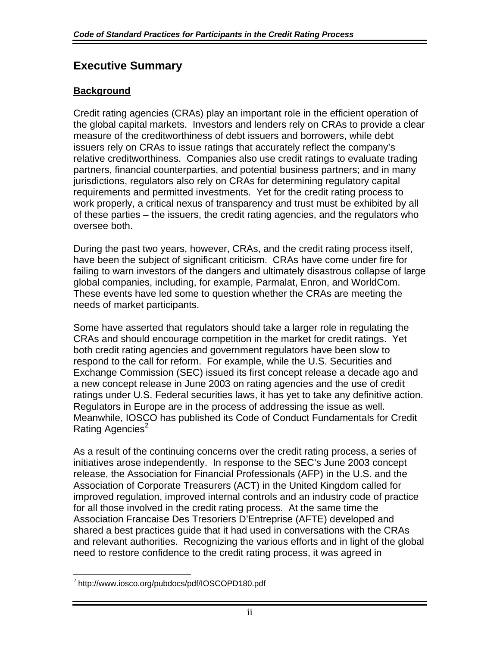## **Executive Summary**

## **Background**

Credit rating agencies (CRAs) play an important role in the efficient operation of the global capital markets. Investors and lenders rely on CRAs to provide a clear measure of the creditworthiness of debt issuers and borrowers, while debt issuers rely on CRAs to issue ratings that accurately reflect the company's relative creditworthiness. Companies also use credit ratings to evaluate trading partners, financial counterparties, and potential business partners; and in many jurisdictions, regulators also rely on CRAs for determining regulatory capital requirements and permitted investments. Yet for the credit rating process to work properly, a critical nexus of transparency and trust must be exhibited by all of these parties – the issuers, the credit rating agencies, and the regulators who oversee both.

During the past two years, however, CRAs, and the credit rating process itself, have been the subject of significant criticism. CRAs have come under fire for failing to warn investors of the dangers and ultimately disastrous collapse of large global companies, including, for example, Parmalat, Enron, and WorldCom. These events have led some to question whether the CRAs are meeting the needs of market participants.

Some have asserted that regulators should take a larger role in regulating the CRAs and should encourage competition in the market for credit ratings. Yet both credit rating agencies and government regulators have been slow to respond to the call for reform. For example, while the U.S. Securities and Exchange Commission (SEC) issued its first concept release a decade ago and a new concept release in June 2003 on rating agencies and the use of credit ratings under U.S. Federal securities laws, it has yet to take any definitive action. Regulators in Europe are in the process of addressing the issue as well. Meanwhile, IOSCO has published its Code of Conduct Fundamentals for Credit Rating Agencies<sup>[2](#page-8-0)</sup>

As a result of the continuing concerns over the credit rating process, a series of initiatives arose independently. In response to the SEC's June 2003 concept release, the Association for Financial Professionals (AFP) in the U.S. and the Association of Corporate Treasurers (ACT) in the United Kingdom called for improved regulation, improved internal controls and an industry code of practice for all those involved in the credit rating process. At the same time the Association Francaise Des Tresoriers D'Entreprise (AFTE) developed and shared a best practices guide that it had used in conversations with the CRAs and relevant authorities. Recognizing the various efforts and in light of the global need to restore confidence to the credit rating process, it was agreed in

<span id="page-8-0"></span> $\overline{a}$ <sup>2</sup> http://www.iosco.org/pubdocs/pdf/IOSCOPD180.pdf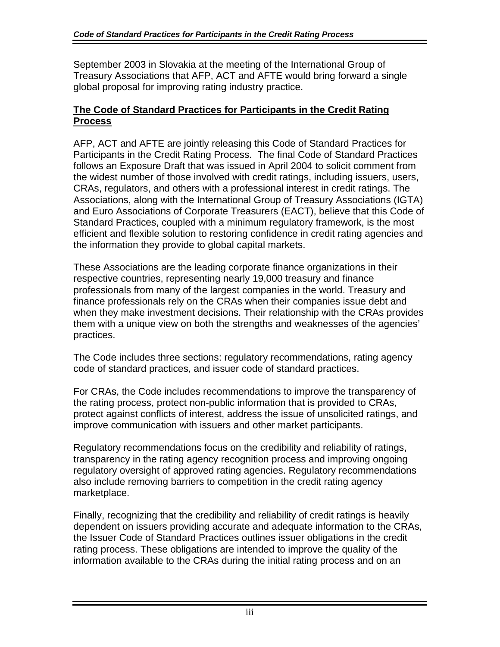September 2003 in Slovakia at the meeting of the International Group of Treasury Associations that AFP, ACT and AFTE would bring forward a single global proposal for improving rating industry practice.

## **The Code of Standard Practices for Participants in the Credit Rating Process**

AFP, ACT and AFTE are jointly releasing this Code of Standard Practices for Participants in the Credit Rating Process. The final Code of Standard Practices follows an Exposure Draft that was issued in April 2004 to solicit comment from the widest number of those involved with credit ratings, including issuers, users, CRAs, regulators, and others with a professional interest in credit ratings. The Associations, along with the International Group of Treasury Associations (IGTA) and Euro Associations of Corporate Treasurers (EACT), believe that this Code of Standard Practices, coupled with a minimum regulatory framework, is the most efficient and flexible solution to restoring confidence in credit rating agencies and the information they provide to global capital markets.

These Associations are the leading corporate finance organizations in their respective countries, representing nearly 19,000 treasury and finance professionals from many of the largest companies in the world. Treasury and finance professionals rely on the CRAs when their companies issue debt and when they make investment decisions. Their relationship with the CRAs provides them with a unique view on both the strengths and weaknesses of the agencies' practices.

The Code includes three sections: regulatory recommendations, rating agency code of standard practices, and issuer code of standard practices.

For CRAs, the Code includes recommendations to improve the transparency of the rating process, protect non-public information that is provided to CRAs, protect against conflicts of interest, address the issue of unsolicited ratings, and improve communication with issuers and other market participants.

Regulatory recommendations focus on the credibility and reliability of ratings, transparency in the rating agency recognition process and improving ongoing regulatory oversight of approved rating agencies. Regulatory recommendations also include removing barriers to competition in the credit rating agency marketplace.

Finally, recognizing that the credibility and reliability of credit ratings is heavily dependent on issuers providing accurate and adequate information to the CRAs, the Issuer Code of Standard Practices outlines issuer obligations in the credit rating process. These obligations are intended to improve the quality of the information available to the CRAs during the initial rating process and on an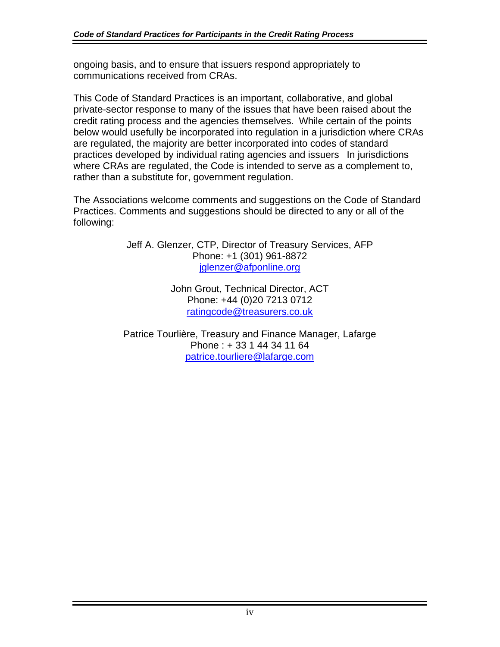ongoing basis, and to ensure that issuers respond appropriately to communications received from CRAs.

This Code of Standard Practices is an important, collaborative, and global private-sector response to many of the issues that have been raised about the credit rating process and the agencies themselves. While certain of the points below would usefully be incorporated into regulation in a jurisdiction where CRAs are regulated, the majority are better incorporated into codes of standard practices developed by individual rating agencies and issuers In jurisdictions where CRAs are regulated, the Code is intended to serve as a complement to, rather than a substitute for, government regulation.

The Associations welcome comments and suggestions on the Code of Standard Practices. Comments and suggestions should be directed to any or all of the following:

> Jeff A. Glenzer, CTP, Director of Treasury Services, AFP Phone: +1 (301) 961-8872 [jglenzer@afponline.org](mailto:jglenzer@afponline.org)

> > John Grout, Technical Director, ACT Phone: +44 (0)20 7213 0712 [ratingcode@treasurers.co.uk](mailto:ratingcode@treasurers.co.uk)

Patrice Tourlière, Treasury and Finance Manager, Lafarge Phone : + 33 1 44 34 11 64 [patrice.tourliere@lafarge.com](mailto:patrice.tourliere@lafarge.com)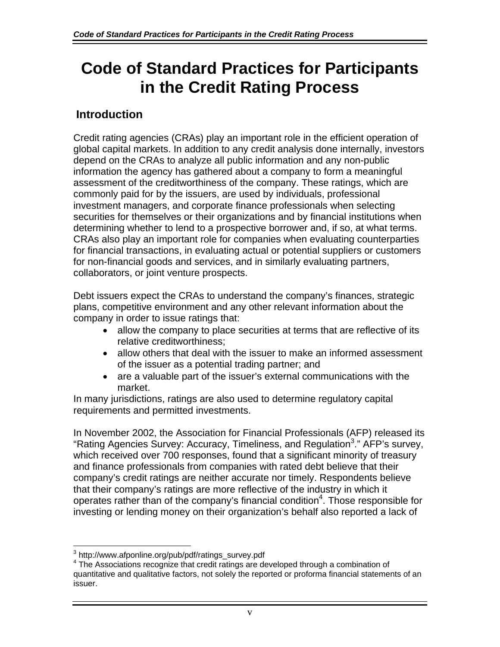## **Code of Standard Practices for Participants in the Credit Rating Process**

## **Introduction**

Credit rating agencies (CRAs) play an important role in the efficient operation of global capital markets. In addition to any credit analysis done internally, investors depend on the CRAs to analyze all public information and any non-public information the agency has gathered about a company to form a meaningful assessment of the creditworthiness of the company. These ratings, which are commonly paid for by the issuers, are used by individuals, professional investment managers, and corporate finance professionals when selecting securities for themselves or their organizations and by financial institutions when determining whether to lend to a prospective borrower and, if so, at what terms. CRAs also play an important role for companies when evaluating counterparties for financial transactions, in evaluating actual or potential suppliers or customers for non-financial goods and services, and in similarly evaluating partners, collaborators, or joint venture prospects.

Debt issuers expect the CRAs to understand the company's finances, strategic plans, competitive environment and any other relevant information about the company in order to issue ratings that:

- allow the company to place securities at terms that are reflective of its relative creditworthiness;
- allow others that deal with the issuer to make an informed assessment of the issuer as a potential trading partner; and
- are a valuable part of the issuer's external communications with the market.

In many jurisdictions, ratings are also used to determine regulatory capital requirements and permitted investments.

In November 2002, the Association for Financial Professionals (AFP) released its "Rating Agencies Survey: Accuracy, Timeliness, and Regulation<sup>[3](#page-11-0)</sup>." AFP's survey, which received over 700 responses, found that a significant minority of treasury and finance professionals from companies with rated debt believe that their company's credit ratings are neither accurate nor timely. Respondents believe that their company's ratings are more reflective of the industry in which it operates rather than of the company's financial condition<sup>[4](#page-11-1)</sup>. Those responsible for investing or lending money on their organization's behalf also reported a lack of

 3 http://www.afponline.org/pub/pdf/ratings\_survey.pdf 4

<span id="page-11-1"></span><span id="page-11-0"></span><sup>&</sup>lt;sup>4</sup> The Associations recognize that credit ratings are developed through a combination of quantitative and qualitative factors, not solely the reported or proforma financial statements of an issuer.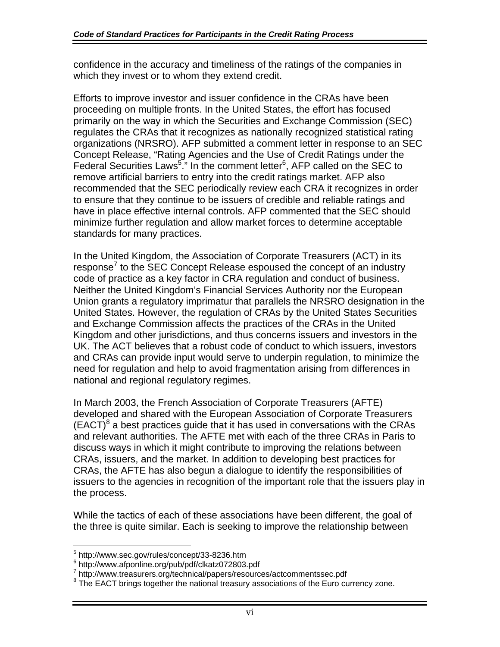confidence in the accuracy and timeliness of the ratings of the companies in which they invest or to whom they extend credit.

Efforts to improve investor and issuer confidence in the CRAs have been proceeding on multiple fronts. In the United States, the effort has focused primarily on the way in which the Securities and Exchange Commission (SEC) regulates the CRAs that it recognizes as nationally recognized statistical rating organizations (NRSRO). AFP submitted a comment letter in response to an SEC Concept Release, "Rating Agencies and the Use of Credit Ratings under the Federal Securities Laws<sup>5</sup>." In the comment letter<sup>[6](#page-12-1)</sup>, AFP called on the SEC to remove artificial barriers to entry into the credit ratings market. AFP also recommended that the SEC periodically review each CRA it recognizes in order to ensure that they continue to be issuers of credible and reliable ratings and have in place effective internal controls. AFP commented that the SEC should minimize further regulation and allow market forces to determine acceptable standards for many practices.

In the United Kingdom, the Association of Corporate Treasurers (ACT) in its response<sup>[7](#page-12-2)</sup> to the SEC Concept Release espoused the concept of an industry code of practice as a key factor in CRA regulation and conduct of business. Neither the United Kingdom's Financial Services Authority nor the European Union grants a regulatory imprimatur that parallels the NRSRO designation in the United States. However, the regulation of CRAs by the United States Securities and Exchange Commission affects the practices of the CRAs in the United Kingdom and other jurisdictions, and thus concerns issuers and investors in the UK. The ACT believes that a robust code of conduct to which issuers, investors and CRAs can provide input would serve to underpin regulation, to minimize the need for regulation and help to avoid fragmentation arising from differences in national and regional regulatory regimes.

In March 2003, the French Association of Corporate Treasurers (AFTE) developed and shared with the European Association of Corporate Treasurers  $(EACT)^8$  $(EACT)^8$  a best practices guide that it has used in conversations with the CRAs and relevant authorities. The AFTE met with each of the three CRAs in Paris to discuss ways in which it might contribute to improving the relations between CRAs, issuers, and the market. In addition to developing best practices for CRAs, the AFTE has also begun a dialogue to identify the responsibilities of issuers to the agencies in recognition of the important role that the issuers play in the process.

While the tactics of each of these associations have been different, the goal of the three is quite similar. Each is seeking to improve the relationship between

<span id="page-12-0"></span> 5 http://www.sec.gov/rules/concept/33-8236.htm

<span id="page-12-1"></span><sup>&</sup>lt;sup>6</sup> http://www.afponline.org/pub/pdf/clkatz072803.pdf<br><sup>7</sup> http://www.treesurere.org/technical/papers/resourc

<span id="page-12-2"></span>http://www.treasurers.org/technical/papers/resources/actcommentssec.pdf

<span id="page-12-3"></span><sup>&</sup>lt;sup>8</sup> The EACT brings together the national treasury associations of the Euro currency zone.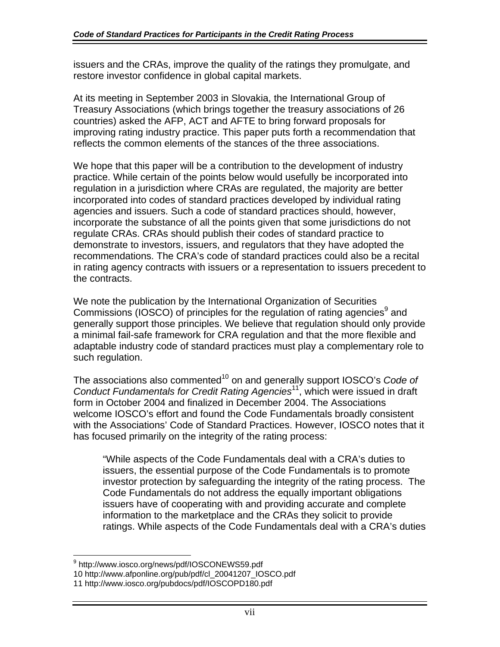issuers and the CRAs, improve the quality of the ratings they promulgate, and restore investor confidence in global capital markets.

At its meeting in September 2003 in Slovakia, the International Group of Treasury Associations (which brings together the treasury associations of 26 countries) asked the AFP, ACT and AFTE to bring forward proposals for improving rating industry practice. This paper puts forth a recommendation that reflects the common elements of the stances of the three associations.

We hope that this paper will be a contribution to the development of industry practice. While certain of the points below would usefully be incorporated into regulation in a jurisdiction where CRAs are regulated, the majority are better incorporated into codes of standard practices developed by individual rating agencies and issuers. Such a code of standard practices should, however, incorporate the substance of all the points given that some jurisdictions do not regulate CRAs. CRAs should publish their codes of standard practice to demonstrate to investors, issuers, and regulators that they have adopted the recommendations. The CRA's code of standard practices could also be a recital in rating agency contracts with issuers or a representation to issuers precedent to the contracts.

We note the publication by the International Organization of Securities Commissions (IOSCO) of principles for the regulation of rating agencies<sup>[9](#page-13-0)</sup> and generally support those principles. We believe that regulation should only provide a minimal fail-safe framework for CRA regulation and that the more flexible and adaptable industry code of standard practices must play a complementary role to such regulation.

The associations also commented<sup>10</sup> on and generally support IOSCO's *Code of Conduct Fundamentals for Credit Rating Agencies*[11,](#page-13-2) which were issued in draft form in October 2004 and finalized in December 2004. The Associations welcome IOSCO's effort and found the Code Fundamentals broadly consistent with the Associations' Code of Standard Practices. However, IOSCO notes that it has focused primarily on the integrity of the rating process:

"While aspects of the Code Fundamentals deal with a CRA's duties to issuers, the essential purpose of the Code Fundamentals is to promote investor protection by safeguarding the integrity of the rating process. The Code Fundamentals do not address the equally important obligations issuers have of cooperating with and providing accurate and complete information to the marketplace and the CRAs they solicit to provide ratings. While aspects of the Code Fundamentals deal with a CRA's duties

<span id="page-13-0"></span> $\overline{a}$ <sup>9</sup> http://www.iosco.org/news/pdf/IOSCONEWS59.pdf

<span id="page-13-1"></span><sup>10</sup> http://www.afponline.org/pub/pdf/cl\_20041207\_IOSCO.pdf

<span id="page-13-2"></span><sup>11</sup> http://www.iosco.org/pubdocs/pdf/IOSCOPD180.pdf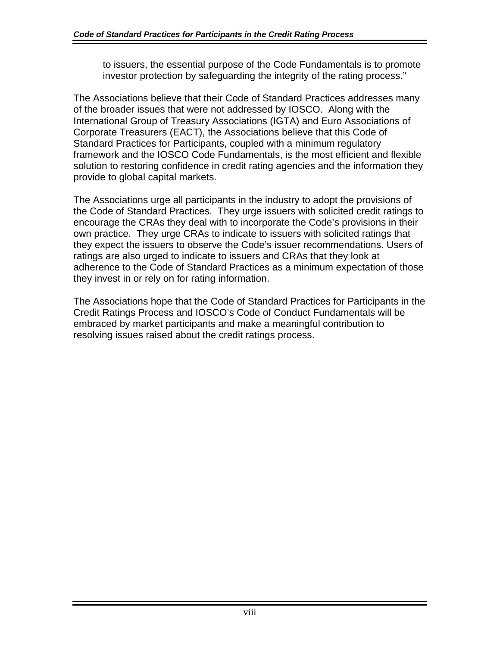to issuers, the essential purpose of the Code Fundamentals is to promote investor protection by safeguarding the integrity of the rating process."

The Associations believe that their Code of Standard Practices addresses many of the broader issues that were not addressed by IOSCO. Along with the International Group of Treasury Associations (IGTA) and Euro Associations of Corporate Treasurers (EACT), the Associations believe that this Code of Standard Practices for Participants, coupled with a minimum regulatory framework and the IOSCO Code Fundamentals, is the most efficient and flexible solution to restoring confidence in credit rating agencies and the information they provide to global capital markets.

The Associations urge all participants in the industry to adopt the provisions of the Code of Standard Practices. They urge issuers with solicited credit ratings to encourage the CRAs they deal with to incorporate the Code's provisions in their own practice. They urge CRAs to indicate to issuers with solicited ratings that they expect the issuers to observe the Code's issuer recommendations. Users of ratings are also urged to indicate to issuers and CRAs that they look at adherence to the Code of Standard Practices as a minimum expectation of those they invest in or rely on for rating information.

The Associations hope that the Code of Standard Practices for Participants in the Credit Ratings Process and IOSCO's Code of Conduct Fundamentals will be embraced by market participants and make a meaningful contribution to resolving issues raised about the credit ratings process.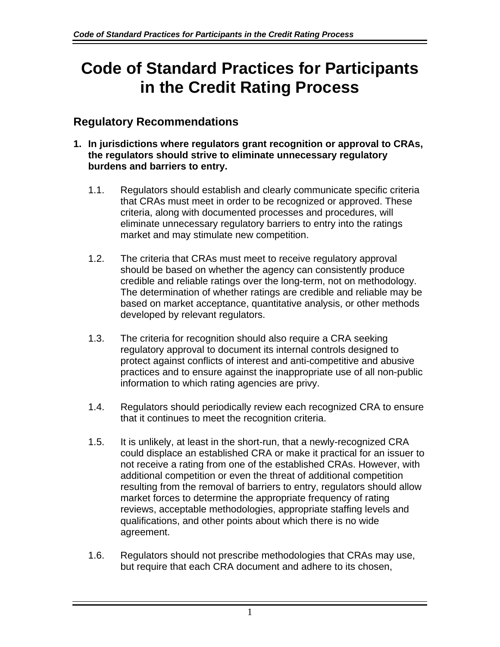## **Code of Standard Practices for Participants in the Credit Rating Process**

## **Regulatory Recommendations**

- **1. In jurisdictions where regulators grant recognition or approval to CRAs, the regulators should strive to eliminate unnecessary regulatory burdens and barriers to entry.**
	- 1.1. Regulators should establish and clearly communicate specific criteria that CRAs must meet in order to be recognized or approved. These criteria, along with documented processes and procedures, will eliminate unnecessary regulatory barriers to entry into the ratings market and may stimulate new competition.
	- 1.2. The criteria that CRAs must meet to receive regulatory approval should be based on whether the agency can consistently produce credible and reliable ratings over the long-term, not on methodology. The determination of whether ratings are credible and reliable may be based on market acceptance, quantitative analysis, or other methods developed by relevant regulators.
	- 1.3. The criteria for recognition should also require a CRA seeking regulatory approval to document its internal controls designed to protect against conflicts of interest and anti-competitive and abusive practices and to ensure against the inappropriate use of all non-public information to which rating agencies are privy.
	- 1.4. Regulators should periodically review each recognized CRA to ensure that it continues to meet the recognition criteria.
	- 1.5. It is unlikely, at least in the short-run, that a newly-recognized CRA could displace an established CRA or make it practical for an issuer to not receive a rating from one of the established CRAs. However, with additional competition or even the threat of additional competition resulting from the removal of barriers to entry, regulators should allow market forces to determine the appropriate frequency of rating reviews, acceptable methodologies, appropriate staffing levels and qualifications, and other points about which there is no wide agreement.
	- 1.6. Regulators should not prescribe methodologies that CRAs may use, but require that each CRA document and adhere to its chosen,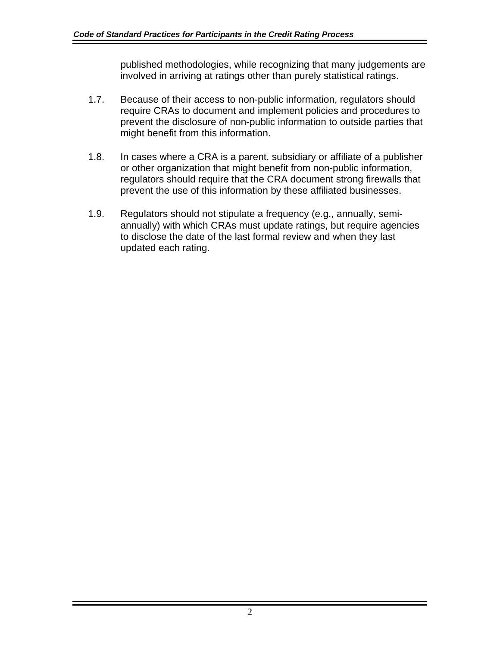published methodologies, while recognizing that many judgements are involved in arriving at ratings other than purely statistical ratings.

- 1.7. Because of their access to non-public information, regulators should require CRAs to document and implement policies and procedures to prevent the disclosure of non-public information to outside parties that might benefit from this information.
- 1.8. In cases where a CRA is a parent, subsidiary or affiliate of a publisher or other organization that might benefit from non-public information, regulators should require that the CRA document strong firewalls that prevent the use of this information by these affiliated businesses.
- 1.9. Regulators should not stipulate a frequency (e.g., annually, semiannually) with which CRAs must update ratings, but require agencies to disclose the date of the last formal review and when they last updated each rating.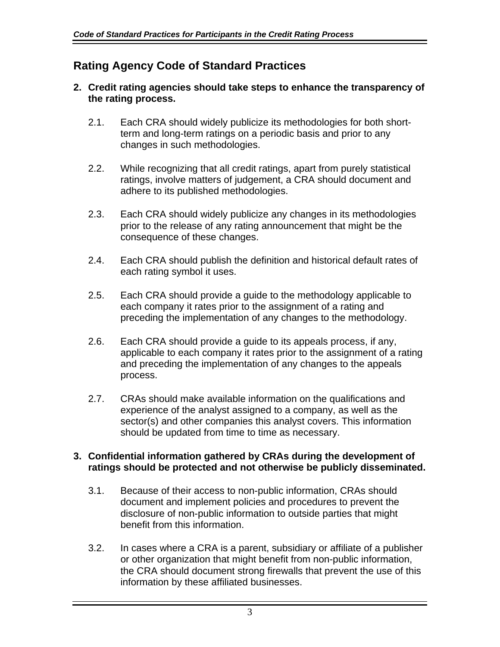## **Rating Agency Code of Standard Practices**

## **2. Credit rating agencies should take steps to enhance the transparency of the rating process.**

- 2.1. Each CRA should widely publicize its methodologies for both shortterm and long-term ratings on a periodic basis and prior to any changes in such methodologies.
- 2.2. While recognizing that all credit ratings, apart from purely statistical ratings, involve matters of judgement, a CRA should document and adhere to its published methodologies.
- 2.3. Each CRA should widely publicize any changes in its methodologies prior to the release of any rating announcement that might be the consequence of these changes.
- 2.4. Each CRA should publish the definition and historical default rates of each rating symbol it uses.
- 2.5. Each CRA should provide a guide to the methodology applicable to each company it rates prior to the assignment of a rating and preceding the implementation of any changes to the methodology.
- 2.6. Each CRA should provide a guide to its appeals process, if any, applicable to each company it rates prior to the assignment of a rating and preceding the implementation of any changes to the appeals process.
- 2.7. CRAs should make available information on the qualifications and experience of the analyst assigned to a company, as well as the sector(s) and other companies this analyst covers. This information should be updated from time to time as necessary.

### **3. Confidential information gathered by CRAs during the development of ratings should be protected and not otherwise be publicly disseminated.**

- 3.1. Because of their access to non-public information, CRAs should document and implement policies and procedures to prevent the disclosure of non-public information to outside parties that might benefit from this information.
- 3.2. In cases where a CRA is a parent, subsidiary or affiliate of a publisher or other organization that might benefit from non-public information, the CRA should document strong firewalls that prevent the use of this information by these affiliated businesses.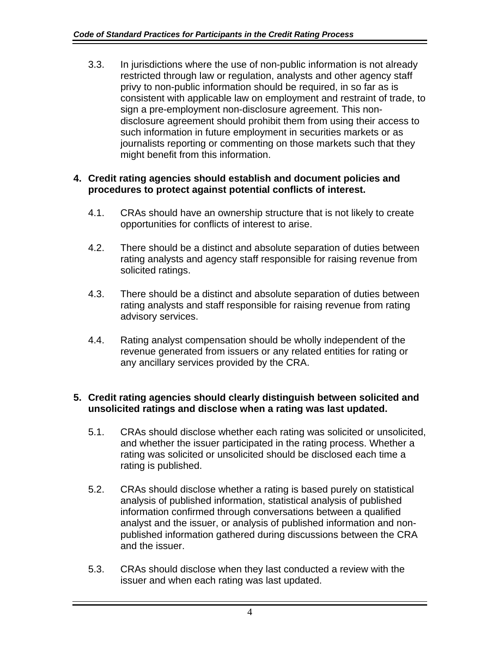3.3. In jurisdictions where the use of non-public information is not already restricted through law or regulation, analysts and other agency staff privy to non-public information should be required, in so far as is consistent with applicable law on employment and restraint of trade, to sign a pre-employment non-disclosure agreement. This nondisclosure agreement should prohibit them from using their access to such information in future employment in securities markets or as journalists reporting or commenting on those markets such that they might benefit from this information.

## **4. Credit rating agencies should establish and document policies and procedures to protect against potential conflicts of interest.**

- 4.1. CRAs should have an ownership structure that is not likely to create opportunities for conflicts of interest to arise.
- 4.2. There should be a distinct and absolute separation of duties between rating analysts and agency staff responsible for raising revenue from solicited ratings.
- 4.3. There should be a distinct and absolute separation of duties between rating analysts and staff responsible for raising revenue from rating advisory services.
- 4.4. Rating analyst compensation should be wholly independent of the revenue generated from issuers or any related entities for rating or any ancillary services provided by the CRA.

## **5. Credit rating agencies should clearly distinguish between solicited and unsolicited ratings and disclose when a rating was last updated.**

- 5.1. CRAs should disclose whether each rating was solicited or unsolicited, and whether the issuer participated in the rating process. Whether a rating was solicited or unsolicited should be disclosed each time a rating is published.
- 5.2. CRAs should disclose whether a rating is based purely on statistical analysis of published information, statistical analysis of published information confirmed through conversations between a qualified analyst and the issuer, or analysis of published information and nonpublished information gathered during discussions between the CRA and the issuer.
- 5.3. CRAs should disclose when they last conducted a review with the issuer and when each rating was last updated.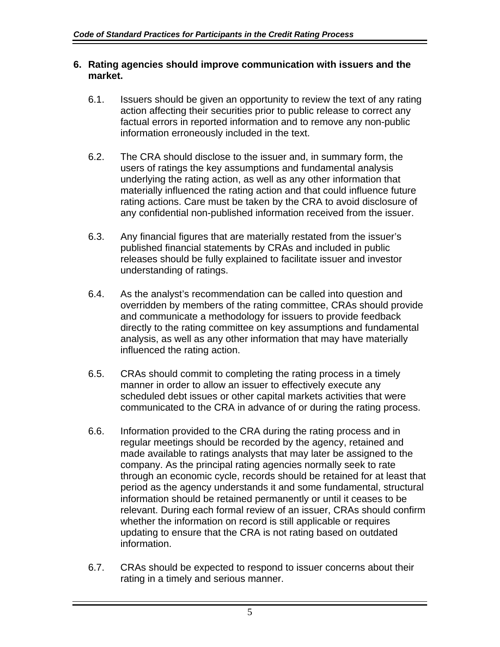### **6. Rating agencies should improve communication with issuers and the market.**

- 6.1. Issuers should be given an opportunity to review the text of any rating action affecting their securities prior to public release to correct any factual errors in reported information and to remove any non-public information erroneously included in the text.
- 6.2. The CRA should disclose to the issuer and, in summary form, the users of ratings the key assumptions and fundamental analysis underlying the rating action, as well as any other information that materially influenced the rating action and that could influence future rating actions. Care must be taken by the CRA to avoid disclosure of any confidential non-published information received from the issuer.
- 6.3. Any financial figures that are materially restated from the issuer's published financial statements by CRAs and included in public releases should be fully explained to facilitate issuer and investor understanding of ratings.
- 6.4. As the analyst's recommendation can be called into question and overridden by members of the rating committee, CRAs should provide and communicate a methodology for issuers to provide feedback directly to the rating committee on key assumptions and fundamental analysis, as well as any other information that may have materially influenced the rating action.
- 6.5. CRAs should commit to completing the rating process in a timely manner in order to allow an issuer to effectively execute any scheduled debt issues or other capital markets activities that were communicated to the CRA in advance of or during the rating process.
- 6.6. Information provided to the CRA during the rating process and in regular meetings should be recorded by the agency, retained and made available to ratings analysts that may later be assigned to the company. As the principal rating agencies normally seek to rate through an economic cycle, records should be retained for at least that period as the agency understands it and some fundamental, structural information should be retained permanently or until it ceases to be relevant. During each formal review of an issuer, CRAs should confirm whether the information on record is still applicable or requires updating to ensure that the CRA is not rating based on outdated information.
- 6.7. CRAs should be expected to respond to issuer concerns about their rating in a timely and serious manner.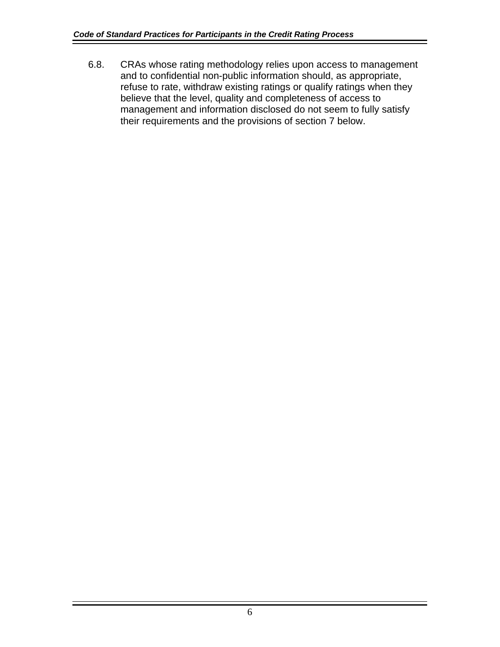6.8. CRAs whose rating methodology relies upon access to management and to confidential non-public information should, as appropriate, refuse to rate, withdraw existing ratings or qualify ratings when they believe that the level, quality and completeness of access to management and information disclosed do not seem to fully satisfy their requirements and the provisions of section 7 below.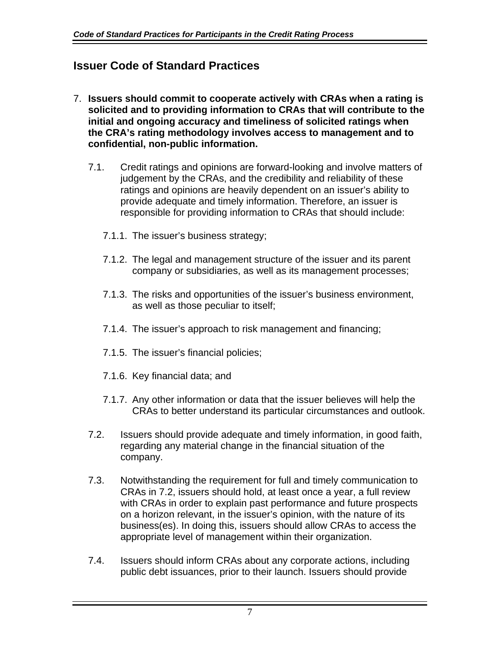## **Issuer Code of Standard Practices**

- <span id="page-21-0"></span>7. **Issuers should commit to cooperate actively with CRAs when a rating is solicited and to providing information to CRAs that will contribute to the initial and ongoing accuracy and timeliness of solicited ratings when the CRA's rating methodology involves access to management and to confidential, non-public information.**
	- 7.1. Credit ratings and opinions are forward-looking and involve matters of judgement by the CRAs, and the credibility and reliability of these ratings and opinions are heavily dependent on an issuer's ability to provide adequate and timely information. Therefore, an issuer is responsible for providing information to CRAs that should include:
		- 7.1.1. The issuer's business strategy;
		- 7.1.2. The legal and management structure of the issuer and its parent company or subsidiaries, as well as its management processes;
		- 7.1.3. The risks and opportunities of the issuer's business environment, as well as those peculiar to itself;
		- 7.1.4. The issuer's approach to risk management and financing;
		- 7.1.5. The issuer's financial policies;
		- 7.1.6. Key financial data; and
		- 7.1.7. Any other information or data that the issuer believes will help the CRAs to better understand its particular circumstances and outlook.
	- 7.2. Issuers should provide adequate and timely information, in good faith, regarding any material change in the financial situation of the company.
	- 7.3. Notwithstanding the requirement for full and timely communication to CRAs in 7.2, issuers should hold, at least once a year, a full review with CR[As in](#page-21-0) order to explain past performance and future prospects on a horizon relevant, in the issuer's opinion, with the nature of its business(es). In doing this, issuers should allow CRAs to access the appropriate level of management within their organization.
	- 7.4. Issuers should inform CRAs about any corporate actions, including public debt issuances, prior to their launch. Issuers should provide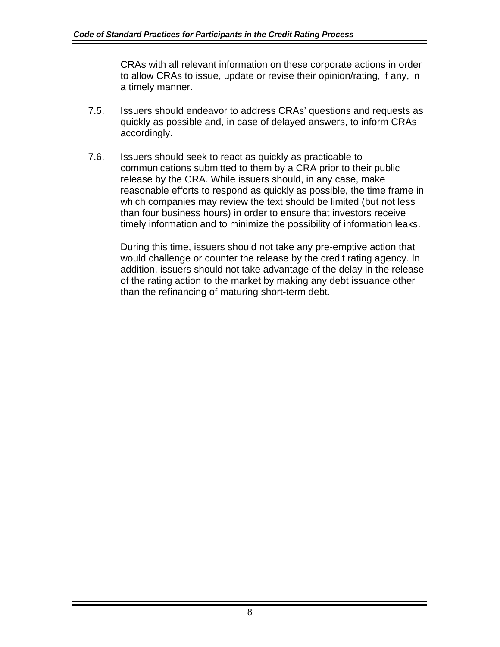CRAs with all relevant information on these corporate actions in order to allow CRAs to issue, update or revise their opinion/rating, if any, in a timely manner.

- 7.5. Issuers should endeavor to address CRAs' questions and requests as quickly as possible and, in case of delayed answers, to inform CRAs accordingly.
- 7.6. Issuers should seek to react as quickly as practicable to communications submitted to them by a CRA prior to their public release by the CRA. While issuers should, in any case, make reasonable efforts to respond as quickly as possible, the time frame in which companies may review the text should be limited (but not less than four business hours) in order to ensure that investors receive timely information and to minimize the possibility of information leaks.

During this time, issuers should not take any pre-emptive action that would challenge or counter the release by the credit rating agency. In addition, issuers should not take advantage of the delay in the release of the rating action to the market by making any debt issuance other than the refinancing of maturing short-term debt.